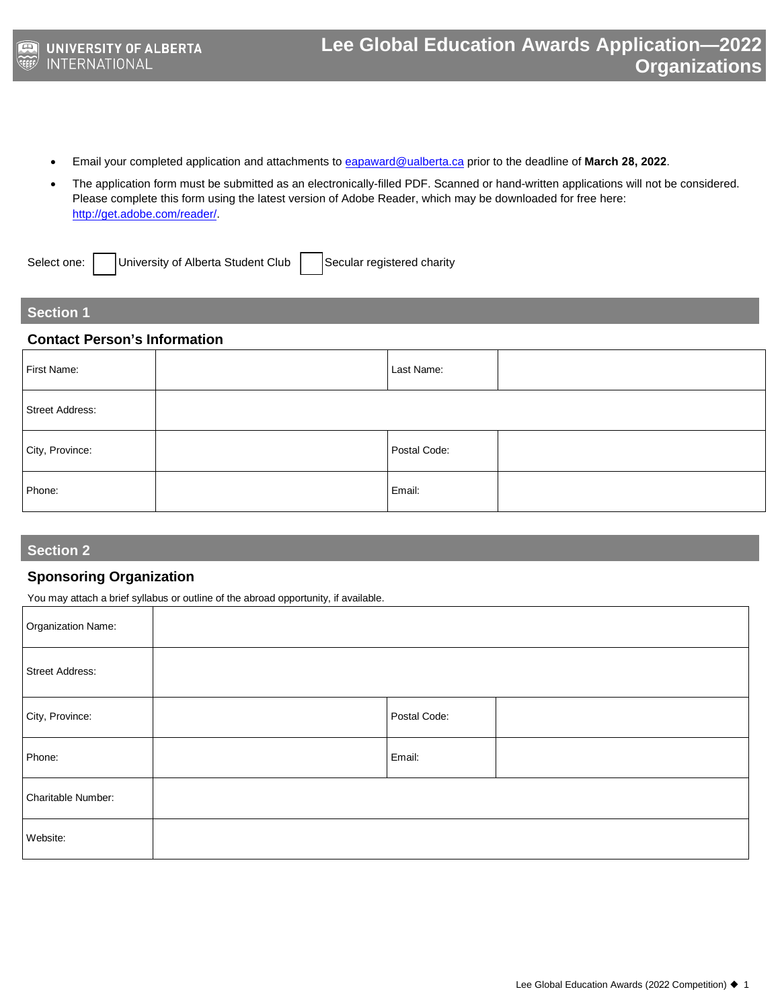- Email your completed application and attachments to [eapaward@ualberta.ca](mailto:eapaward@ualberta.ca) prior to the deadline of **March 28, 2022**.
- The application form must be submitted as an electronically-filled PDF. Scanned or hand-written applications will not be considered. Please complete this form using the latest version of Adobe Reader, which may be downloaded for free here: [http://get.adobe.com/reader/.](http://get.adobe.com/reader/)

Select one: | | University of Alberta Student Club | | Secular registered charity

### **Section 1**

#### **Contact Person's Information**

| First Name:            | Last Name:   |  |
|------------------------|--------------|--|
| <b>Street Address:</b> |              |  |
| City, Province:        | Postal Code: |  |
| Phone:                 | Email:       |  |

## **Section 2**

## **Sponsoring Organization**

You may attach a brief syllabus or outline of the abroad opportunity, if available.

| Organization Name: |              |  |
|--------------------|--------------|--|
| Street Address:    |              |  |
| City, Province:    | Postal Code: |  |
| Phone:             | Email:       |  |
| Charitable Number: |              |  |
| Website:           |              |  |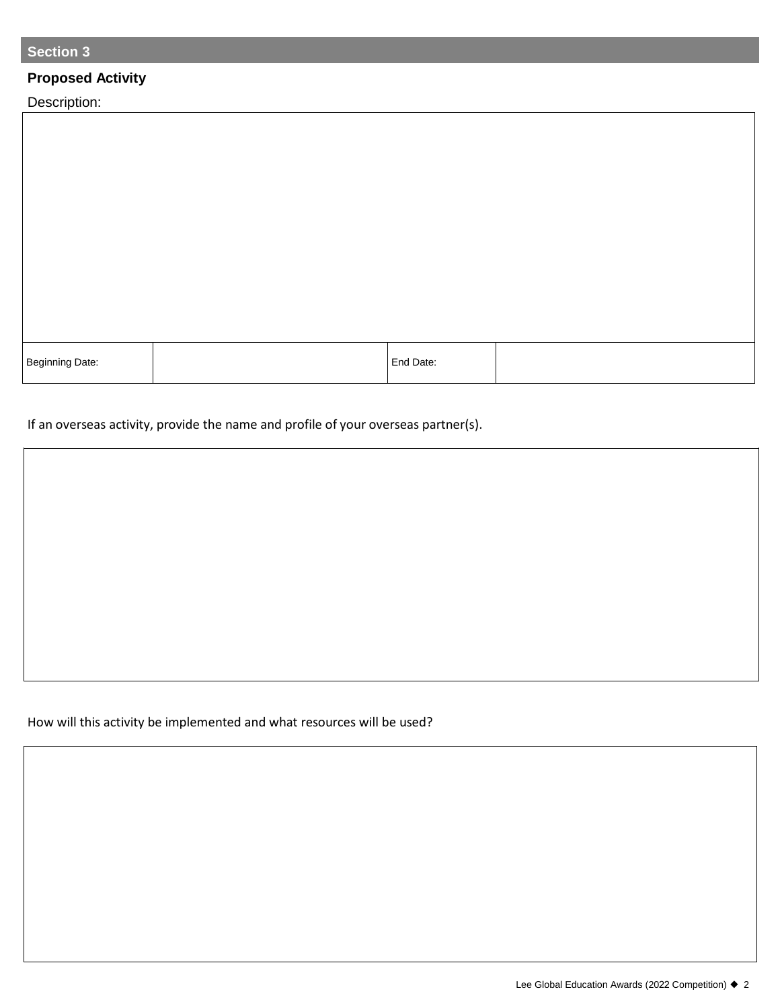# **Section 3**

# **Proposed Activity**

Description:

Г

| Beginning Date: | End Date: |  |
|-----------------|-----------|--|

If an overseas activity, provide the name and profile of your overseas partner(s).

## How will this activity be implemented and what resources will be used?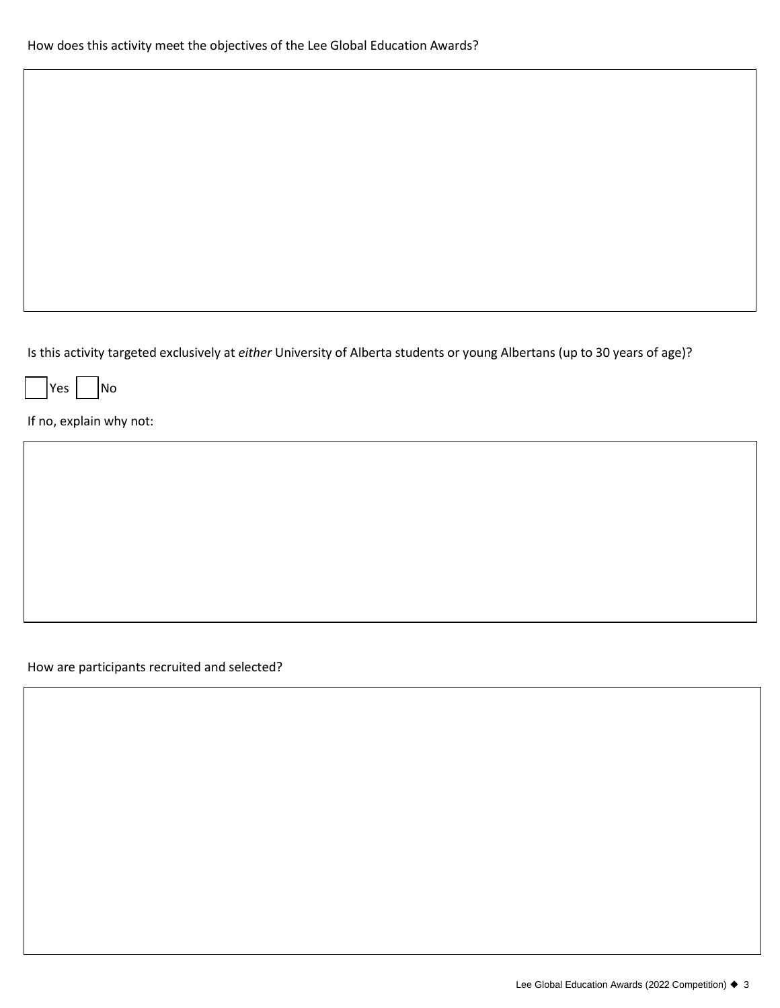Is this activity targeted exclusively at *either* University of Alberta students or young Albertans (up to 30 years of age)?

|Yes | No

If no, explain why not:

How are participants recruited and selected?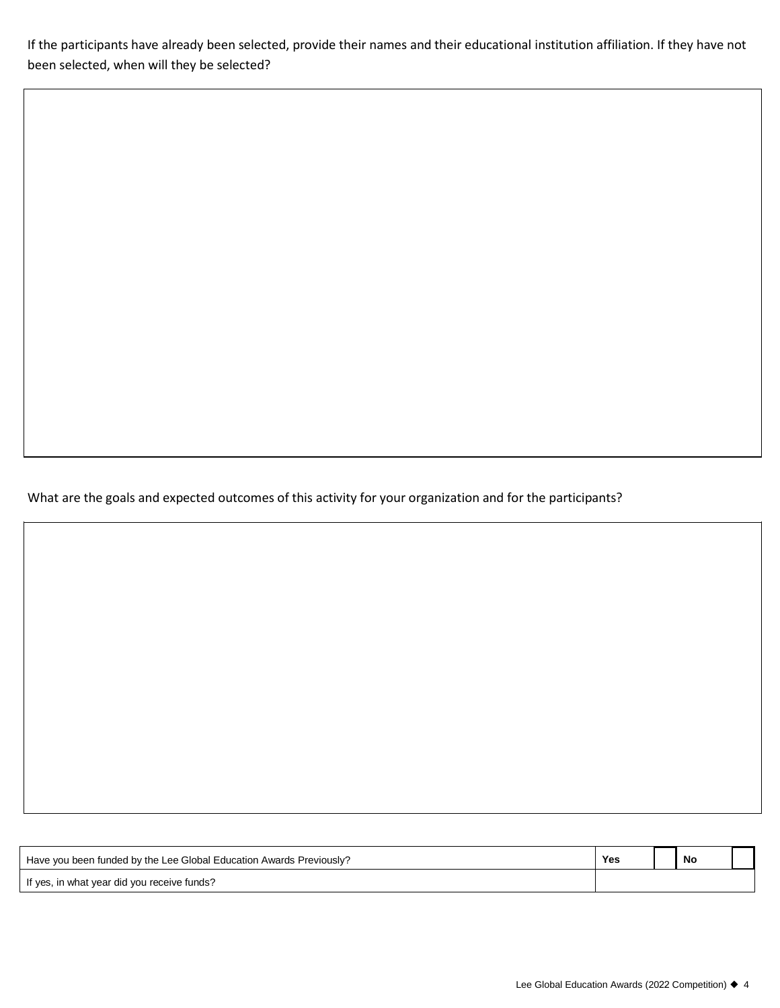If the participants have already been selected, provide their names and their educational institution affiliation. If they have not been selected, when will they be selected?

What are the goals and expected outcomes of this activity for your organization and for the participants?

| Have you been funded by the Lee Global Education Awards Previously? | Yes | No |  |
|---------------------------------------------------------------------|-----|----|--|
| If yes, in what year did you receive funds?                         |     |    |  |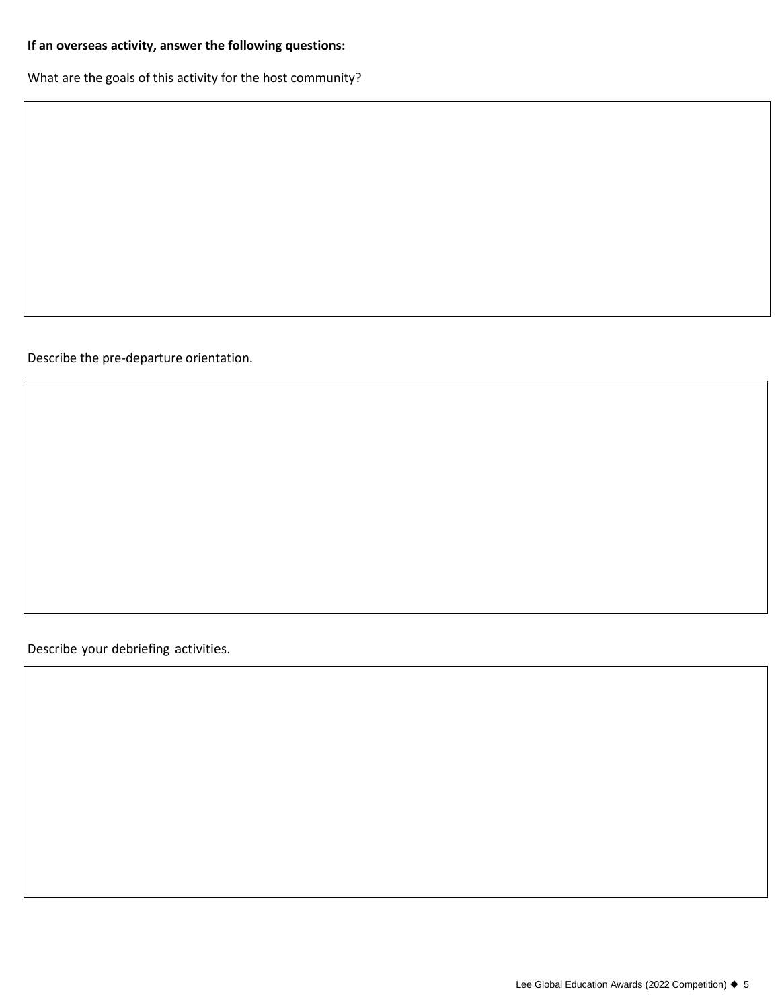# **If an overseas activity, answer the following questions:**

What are the goals of this activity for the host community?

Describe the pre-departure orientation.

Describe your debriefing activities.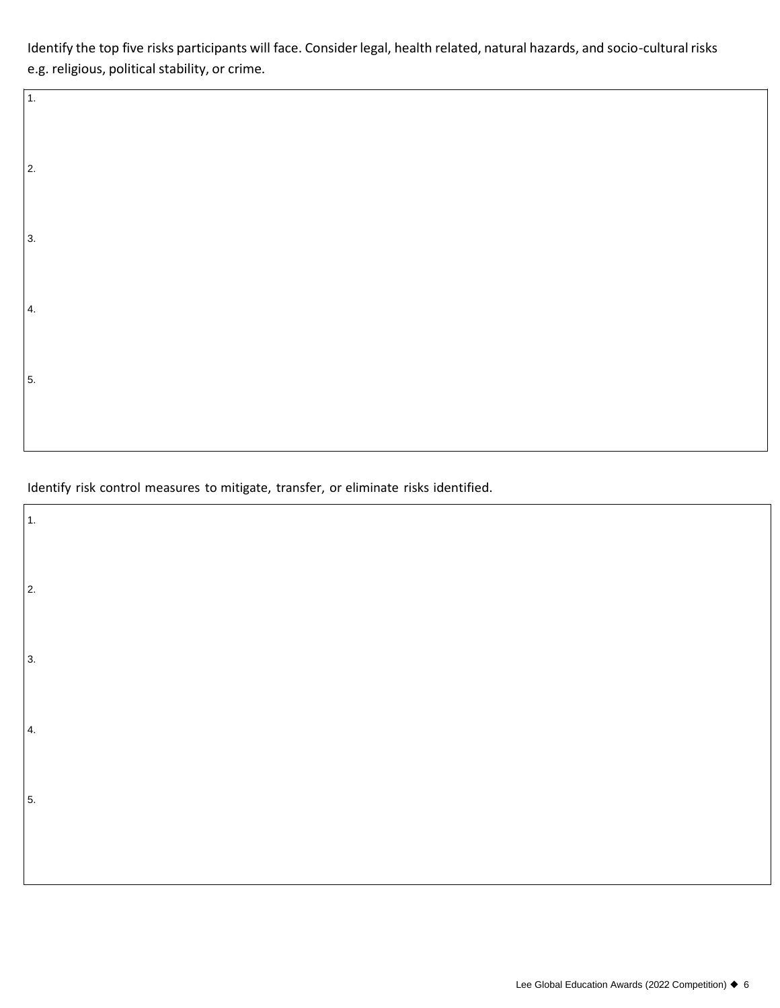Identify the top five risks participants will face. Consider legal, health related, natural hazards, and socio-cultural risks e.g. religious, political stability, or crime.

Identify risk control measures to mitigate, transfer, or eliminate risks identified.

1.

2.

3.

4.

5.

| $\overline{1}$ . |  |  |  |
|------------------|--|--|--|
| $\vert$ 2.       |  |  |  |
| 3.               |  |  |  |
| 4.               |  |  |  |
| 5.               |  |  |  |
|                  |  |  |  |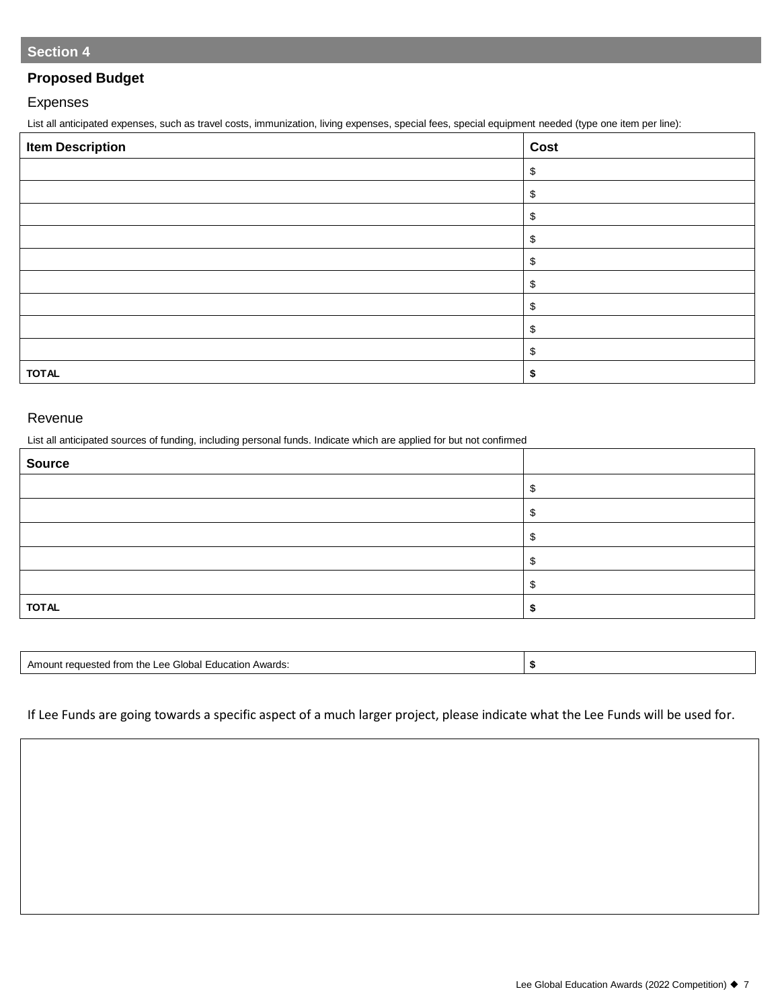## **Proposed Budget**

### Expenses

List all anticipated expenses, such as travel costs, immunization, living expenses, special fees, special equipment needed (type one item per line):

| <b>Item Description</b> | Cost |
|-------------------------|------|
|                         | \$   |
|                         | \$   |
|                         | \$   |
|                         | \$   |
|                         | \$   |
|                         | \$   |
|                         | \$   |
|                         | \$   |
|                         | \$   |
| <b>TOTAL</b>            |      |

#### Revenue

List all anticipated sources of funding, including personal funds. Indicate which are applied for but not confirmed

| <b>Source</b> |  |
|---------------|--|
|               |  |
|               |  |
|               |  |
|               |  |
|               |  |
| <b>TOTAL</b>  |  |

| ചന∘<br>≒il∩ha.<br>≏≏<br>atıc<br>0n.<br><b>TD</b><br>15<br>ີ |  |
|-------------------------------------------------------------|--|
|                                                             |  |
|                                                             |  |

If Lee Funds are going towards a specific aspect of a much larger project, please indicate what the Lee Funds will be used for.